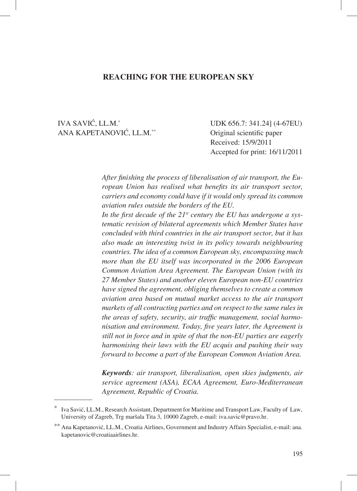## **REACHING FOR THE EUROPEAN SKY**

# IVA SAVIĆ, LL.M.\* ANA KAPETANOVIĆ, LL.M.\*\*

UDK 656.7: 341.24] (4-67EU) Original scientific paper Received: 15/9/2011 Accepted for print: 16/11/2011

After finishing the process of liberalisation of air transport, the Eu*ropean Union has realised what benefits its air transport sector, carriers and economy could have if it would only spread its common aviation rules outside the borders of the EU.*

In the first decade of the 21<sup>st</sup> century the EU has undergone a sys*tematic revision of bilateral agreements which Member States have concluded with third countries in the air transport sector, but it has also made an interesting twist in its policy towards neighbouring countries. The idea of a common European sky, encompassing much more than the EU itself was incorporated in the 2006 European Common Aviation Area Agreement. The European Union (with its 27 Member States) and another eleven European non-EU countries have signed the agreement, obliging themselves to create a common aviation area based on mutual market access to the air transport markets of all contracting parties and on respect to the same rules in the areas of safety, security, air traffic management, social harmonisation and environment. Today, five years later, the Agreement is still not in force and in spite of that the non-EU parties are eagerly harmonising their laws with the EU acquis and pushing their way forward to become a part of the European Common Aviation Area.*

*Keywords: air transport, liberalisation, open skies judgments, air service agreement (ASA), ECAA Agreement, Euro-Mediterranean Agreement, Republic of Croatia.*

<sup>\*</sup> Iva Savić, LL.M., Research Assistant, Department for Maritime and Transport Law, Faculty of Law, University of Zagreb, Trg maršala Tita 3, 10000 Zagreb, e-mail: iva.savic@pravo.hr.

<sup>\*\*</sup> Ana Kapetanović, LL.M., Croatia Airlines, Government and Industry Affairs Specialist, e-mail: ana. kapetanovic@croatiaairlines.hr.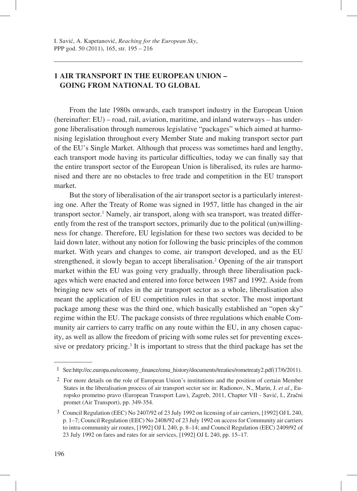# **1 AIR TRANSPORT IN THE EUROPEAN UNION – GOING FROM NATIONAL TO GLOBAL**

From the late 1980s onwards, each transport industry in the European Union (hereinafter: EU) – road, rail, aviation, maritime, and inland waterways – has undergone liberalisation through numerous legislative "packages" which aimed at harmonising legislation throughout every Member State and making transport sector part of the EU's Single Market. Although that process was sometimes hard and lengthy, each transport mode having its particular difficulties, today we can finally say that the entire transport sector of the European Union is liberalised, its rules are harmonised and there are no obstacles to free trade and competition in the EU transport market.

But the story of liberalisation of the air transport sector is a particularly interesting one. After the Treaty of Rome was signed in 1957, little has changed in the air transport sector.<sup>1</sup> Namely, air transport, along with sea transport, was treated differently from the rest of the transport sectors, primarily due to the political (un)willingness for change. Therefore, EU legislation for these two sectors was decided to be laid down later, without any notion for following the basic principles of the common market. With years and changes to come, air transport developed, and as the EU strengthened, it slowly began to accept liberalisation.<sup>2</sup> Opening of the air transport market within the EU was going very gradually, through three liberalisation packages which were enacted and entered into force between 1987 and 1992. Aside from bringing new sets of rules in the air transport sector as a whole, liberalisation also meant the application of EU competition rules in that sector. The most important package among these was the third one, which basically established an "open sky" regime within the EU. The package consists of three regulations which enable Community air carriers to carry traffic on any route within the EU, in any chosen capacity, as well as allow the freedom of pricing with some rules set for preventing excessive or predatory pricing.<sup>3</sup> It is important to stress that the third package has set the

<sup>1</sup> See:http://ec.europa.eu/economy\_finance/emu\_history/documents/treaties/rometreaty2.pdf (17/6/2011).

 <sup>2</sup> For more details on the role of European Union's institutions and the position of certain Member States in the liberalisation process of air transport sector see in: Radionov, N., Marin, J. *et al*., Europsko prometno pravo (European Transport Law), Zagreb, 2011, Chapter VII - Savić, I., Zračni promet (Air Transport), pp. 349-354.

 <sup>3</sup> Council Regulation (EEC) No 2407/92 of 23 July 1992 on licensing of air carriers, [1992] OJ L 240, p. 1–7; Council Regulation (EEC) No 2408/92 of 23 July 1992 on access for Community air carriers to intra-community air routes, [1992] OJ L 240, p. 8–14; and Council Regulation (EEC) 2409/92 of 23 July 1992 on fares and rates for air services, [1992] OJ L 240, pp. 15–17.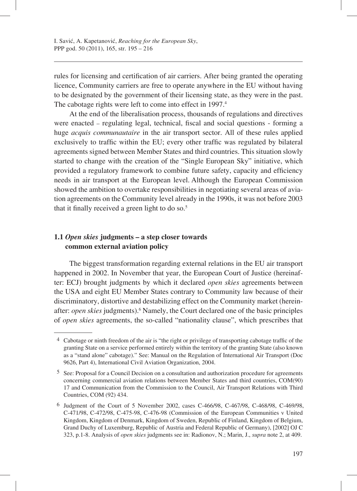rules for licensing and certification of air carriers. After being granted the operating licence, Community carriers are free to operate anywhere in the EU without having to be designated by the government of their licensing state, as they were in the past. The cabotage rights were left to come into effect in 1997.<sup>4</sup>

At the end of the liberalisation process, thousands of regulations and directives were enacted – regulating legal, technical, fiscal and social questions - forming a huge *acquis communautaire* in the air transport sector. All of these rules applied exclusively to traffic within the EU; every other traffic was regulated by bilateral agreements signed between Member States and third countries. This situation slowly started to change with the creation of the "Single European Sky" initiative, which provided a regulatory framework to combine future safety, capacity and efficiency needs in air transport at the European level. Although the European Commission showed the ambition to overtake responsibilities in negotiating several areas of aviation agreements on the Community level already in the 1990s, it was not before 2003 that it finally received a green light to do so. $5$ 

# **1.1** *Open skies* **judgments – a step closer towards common external aviation policy**

The biggest transformation regarding external relations in the EU air transport happened in 2002. In November that year, the European Court of Justice (hereinafter: ECJ) brought judgments by which it declared *open skies* agreements between the USA and eight EU Member States contrary to Community law because of their discriminatory, distortive and destabilizing effect on the Community market (hereinafter: *open skies* judgments).<sup>6</sup> Namely, the Court declared one of the basic principles of *open skies* agreements, the so-called "nationality clause", which prescribes that

<sup>&</sup>lt;sup>4</sup> Cabotage or ninth freedom of the air is "the right or privilege of transporting cabotage traffic of the granting State on a service performed entirely within the territory of the granting State (also known as a "stand alone" cabotage)." See: Manual on the Regulation of International Air Transport (Doc 9626, Part 4), International Civil Aviation Organization, 2004.

 <sup>5</sup> See: Proposal for a Council Decision on a consultation and authorization procedure for agreements concerning commercial aviation relations between Member States and third countries, COM(90) 17 and Communication from the Commission to the Council, Air Transport Relations with Third Countries, COM (92) 434.

 <sup>6</sup> Judgment of the Court of 5 November 2002, cases C-466/98, C-467/98, C-468/98, C-469/98, C-471/98, C-472/98, C-475-98, C-476-98 (Commission of the European Communities v United Kingdom, Kingdom of Denmark, Kingdom of Sweden, Republic of Finland, Kingdom of Belgium, Grand Duchy of Luxemburg, Republic of Austria and Federal Republic of Germany), [2002] OJ C 323, p.1-8. Analysis of *open skies* judgments see in: Radionov, N.; Marin, J., *supra* note 2, at 409.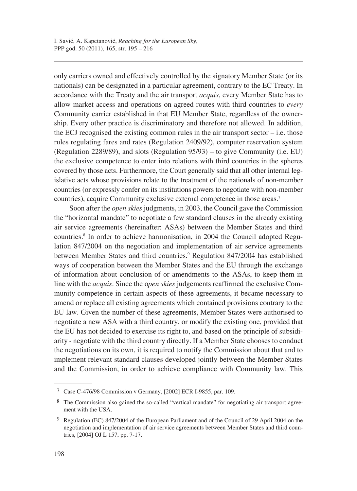only carriers owned and effectively controlled by the signatory Member State (or its nationals) can be designated in a particular agreement, contrary to the EC Treaty. In accordance with the Treaty and the air transport *acquis*, every Member State has to allow market access and operations on agreed routes with third countries to *every* Community carrier established in that EU Member State, regardless of the ownership. Every other practice is discriminatory and therefore not allowed. In addition, the ECJ recognised the existing common rules in the air transport sector  $-$  i.e. those rules regulating fares and rates (Regulation 2409/92), computer reservation system (Regulation 2289/89), and slots (Regulation 95/93) – to give Community (i.e. EU) the exclusive competence to enter into relations with third countries in the spheres covered by those acts. Furthermore, the Court generally said that all other internal legislative acts whose provisions relate to the treatment of the nationals of non-member countries (or expressly confer on its institutions powers to negotiate with non-member countries), acquire Community exclusive external competence in those areas.7

Soon after the *open skies* judgments, in 2003, the Council gave the Commission the "horizontal mandate" to negotiate a few standard clauses in the already existing air service agreements (hereinafter: ASAs) between the Member States and third countries.<sup>8</sup> In order to achieve harmonisation, in 2004 the Council adopted Regulation 847/2004 on the negotiation and implementation of air service agreements between Member States and third countries.<sup>9</sup> Regulation 847/2004 has established ways of cooperation between the Member States and the EU through the exchange of information about conclusion of or amendments to the ASAs, to keep them in line with the *acquis*. Since the *open skies* judgements reaffirmed the exclusive Community competence in certain aspects of these agreements, it became necessary to amend or replace all existing agreements which contained provisions contrary to the EU law. Given the number of these agreements, Member States were authorised to negotiate a new ASA with a third country, or modify the existing one, provided that the EU has not decided to exercise its right to, and based on the principle of subsidiarity - negotiate with the third country directly. If a Member State chooses to conduct the negotiations on its own, it is required to notify the Commission about that and to implement relevant standard clauses developed jointly between the Member States and the Commission, in order to achieve compliance with Community law. This

 <sup>7</sup> Case C-476/98 Commission v Germany, [2002] ECR I-9855, par. 109.

 <sup>8</sup> The Commission also gained the so-called "vertical mandate" for negotiating air transport agreement with the USA.

 <sup>9</sup> Regulation (EC) 847/2004 of the European Parliament and of the Council of 29 April 2004 on the negotiation and implementation of air service agreements between Member States and third countries, [2004] OJ L 157, pp. 7-17.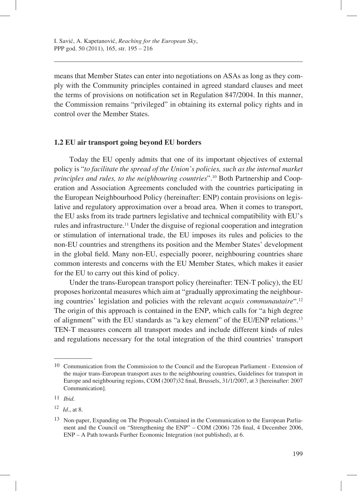means that Member States can enter into negotiations on ASAs as long as they comply with the Community principles contained in agreed standard clauses and meet the terms of provisions on notification set in Regulation 847/2004. In this manner, the Commission remains "privileged" in obtaining its external policy rights and in control over the Member States.

#### **1.2 EU air transport going beyond EU borders**

Today the EU openly admits that one of its important objectives of external policy is "*to facilitate the spread of the Union's policies, such as the internal market principles and rules, to the neighbouring countries*".10 Both Partnership and Cooperation and Association Agreements concluded with the countries participating in the European Neighbourhood Policy (hereinafter: ENP) contain provisions on legislative and regulatory approximation over a broad area. When it comes to transport, the EU asks from its trade partners legislative and technical compatibility with EU's rules and infrastructure.<sup>11</sup> Under the disguise of regional cooperation and integration or stimulation of international trade, the EU imposes its rules and policies to the non-EU countries and strengthens its position and the Member States' development in the global field. Many non-EU, especially poorer, neighbouring countries share common interests and concerns with the EU Member States, which makes it easier for the EU to carry out this kind of policy.

Under the trans-European transport policy (hereinafter: TEN-T policy), the EU proposes horizontal measures which aim at "gradually approximating the neighbouring countries' legislation and policies with the relevant *acquis communautaire*".12 The origin of this approach is contained in the ENP, which calls for "a high degree of alignment" with the EU standards as "a key element" of the EU/ENP relations.13 TEN-T measures concern all transport modes and include different kinds of rules and regulations necessary for the total integration of the third countries' transport

<sup>10</sup> Communication from the Commission to the Council and the European Parliament - Extension of the major trans-European transport axes to the neighbouring countries, Guidelines for transport in Europe and neighbouring regions, COM (2007)32 final, Brussels, 31/1/2007, at 3 [hereinafter: 2007 Communication].

<sup>11</sup> *Ibid*.

<sup>12</sup> *Id*., at 8.

<sup>13</sup> Non-paper, Expanding on The Proposals Contained in the Communication to the European Parliament and the Council on "Strengthening the ENP" – COM (2006) 726 final, 4 December 2006, ENP – A Path towards Further Economic Integration (not published), at 6.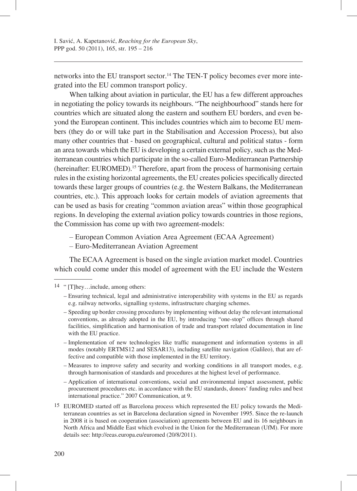networks into the EU transport sector.<sup>14</sup> The TEN-T policy becomes ever more integrated into the EU common transport policy.

When talking about aviation in particular, the EU has a few different approaches in negotiating the policy towards its neighbours. "The neighbourhood" stands here for countries which are situated along the eastern and southern EU borders, and even beyond the European continent. This includes countries which aim to become EU members (they do or will take part in the Stabilisation and Accession Process), but also many other countries that - based on geographical, cultural and political status - form an area towards which the EU is developing a certain external policy, such as the Mediterranean countries which participate in the so-called Euro-Mediterranean Partnership (hereinafter: EUROMED).15 Therefore, apart from the process of harmonising certain rules in the existing horizontal agreements, the EU creates policies specifically directed towards these larger groups of countries (e.g. the Western Balkans, the Mediterranean countries, etc.). This approach looks for certain models of aviation agreements that can be used as basis for creating "common aviation areas" within those geographical regions. In developing the external aviation policy towards countries in those regions, the Commission has come up with two agreement-models:

- European Common Aviation Area Agreement (ECAA Agreement)
- Euro-Mediterranean Aviation Agreement

The ECAA Agreement is based on the single aviation market model. Countries which could come under this model of agreement with the EU include the Western

- Implementation of new technologies like traffic management and information systems in all modes (notably ERTMS12 and SESAR13), including satellite navigation (Galileo), that are effective and compatible with those implemented in the EU territory.
- Measures to improve safety and security and working conditions in all transport modes, e.g. through harmonisation of standards and procedures at the highest level of performance.
- Application of international conventions, social and environmental impact assessment, public procurement procedures etc. in accordance with the EU standards, donors' funding rules and best international practice." 2007 Communication, at 9.
- 15 EUROMED started off as Barcelona process which represented the EU policy towards the Mediterranean countries as set in Barcelona declaration signed in November 1995. Since the re-launch in 2008 it is based on cooperation (association) agreements between EU and its 16 neighbours in North Africa and Middle East which evolved in the Union for the Mediterranean (UfM). For more details see: http://eeas.europa.eu/euromed (20/8/2011).

<sup>14 &</sup>quot; [T]hey…include, among others:

<sup>–</sup> Ensuring technical, legal and administrative interoperability with systems in the EU as regards e.g. railway networks, signalling systems, infrastructure charging schemes.

<sup>–</sup> Speeding up border crossing procedures by implementing without delay the relevant international conventions, as already adopted in the EU, by introducing "one-stop" offices through shared facilities, simplification and harmonisation of trade and transport related documentation in line with the EU practice.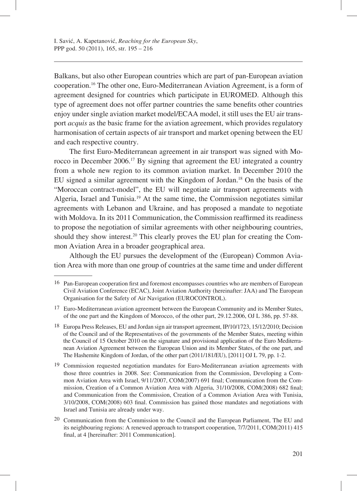Balkans, but also other European countries which are part of pan-European aviation cooperation.16 The other one, Euro-Mediterranean Aviation Agreement, is a form of agreement designed for countries which participate in EUROMED. Although this type of agreement does not offer partner countries the same benefits other countries enjoy under single aviation market model/ECAA model, it still uses the EU air transport *acquis* as the basic frame for the aviation agreement, which provides regulatory harmonisation of certain aspects of air transport and market opening between the EU and each respective country.

The first Euro-Mediterranean agreement in air transport was signed with Morocco in December 2006.17 By signing that agreement the EU integrated a country from a whole new region to its common aviation market. In December 2010 the EU signed a similar agreement with the Kingdom of Jordan.18 On the basis of the "Moroccan contract-model", the EU will negotiate air transport agreements with Algeria, Israel and Tunisia.19 At the same time, the Commission negotiates similar agreements with Lebanon and Ukraine, and has proposed a mandate to negotiate with Moldova. In its 2011 Communication, the Commission reaffirmed its readiness to propose the negotiation of similar agreements with other neighbouring countries, should they show interest.20 This clearly proves the EU plan for creating the Common Aviation Area in a broader geographical area.

Although the EU pursues the development of the (European) Common Aviation Area with more than one group of countries at the same time and under different

<sup>17</sup> Euro-Mediterranean aviation agreement between the European Community and its Member States, of the one part and the Kingdom of Morocco, of the other part, 29.12.2006, OJ L 386, pp. 57-88.

18 Europa Press Releases, EU and Jordan sign air transport agreement, IP/10/1723, 15/12/2010; Decision of the Council and of the Representatives of the governments of the Member States, meeting within the Council of 15 October 2010 on the signature and provisional application of the Euro Mediterranean Aviation Agreement between the European Union and its Member States, of the one part, and The Hashemite Kingdom of Jordan, of the other part (2011/181/EU), [2011] OJ L 79, pp. 1-2.

19 Commission requested negotiation mandates for Euro-Mediterranean aviation agreements with those three countries in 2008. See: Communication from the Commission, Developing a Common Aviation Area with Israel,  $9/11/2007$ , COM(2007) 691 final; Communication from the Commission, Creation of a Common Aviation Area with Algeria, 31/10/2008, COM(2008) 682 final; and Communication from the Commission, Creation of a Common Aviation Area with Tunisia, 3/10/2008, COM(2008) 603 final. Commission has gained those mandates and negotiations with Israel and Tunisia are already under way.

20 Communication from the Commission to the Council and the European Parliament, The EU and its neighbouring regions: A renewed approach to transport cooperation, 7/7/2011, COM(2011) 415 final, at 4 [hereinafter: 2011 Communication].

<sup>16</sup> Pan-European cooperation first and foremost encompasses countries who are members of European Civil Aviation Conference (ECAC), Joint Aviation Authority (hereinafter: JAA) and The European Organisation for the Safety of Air Navigation (EUROCONTROL).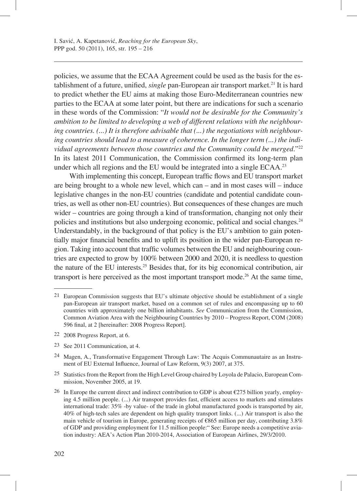policies, we assume that the ECAA Agreement could be used as the basis for the establishment of a future, unified, *single* pan-European air transport market.<sup>21</sup> It is hard to predict whether the EU aims at making those Euro-Mediterranean countries new parties to the ECAA at some later point, but there are indications for such a scenario in these words of the Commission: "*It would not be desirable for the Community's ambition to be limited to developing a web of different relations with the neighbouring countries. (...) It is therefore advisable that (...) the negotiations with neighbouring countries should lead to a measure of coherence. In the longer term (...) the individual agreements between those countries and the Community could be merged*."22 In its latest 2011 Communication, the Commission confirmed its long-term plan under which all regions and the EU would be integrated into a single ECAA.<sup>23</sup>

With implementing this concept, European traffic flows and EU transport market are being brought to a whole new level, which can – and in most cases will – induce legislative changes in the non-EU countries (candidate and potential candidate countries, as well as other non-EU countries). But consequences of these changes are much wider – countries are going through a kind of transformation, changing not only their policies and institutions but also undergoing economic, political and social changes.24 Understandably, in the background of that policy is the EU's ambition to gain potentially major financial benefits and to uplift its position in the wider pan-European region. Taking into account that traffic volumes between the EU and neighbouring countries are expected to grow by 100% between 2000 and 2020, it is needless to question the nature of the EU interests.25 Besides that, for its big economical contribution, air transport is here perceived as the most important transport mode.26 At the same time,

- 22 2008 Progress Report, at 6.
- 23 See 2011 Communication, at 4.

<sup>21</sup> European Commission suggests that EU's ultimate objective should be establishment of a single pan-European air transport market, based on a common set of rules and encompassing up to 60 countries with approximately one billion inhabitants. *See* Communication from the Commission, Common Aviation Area with the Neighbouring Countries by 2010 – Progress Report, COM (2008) 596 final, at 2 [hereinafter: 2008 Progress Report].

<sup>24</sup> Magen, A., Transformative Engagement Through Law: The Acquis Communautaire as an Instrument of EU External Influence, Journal of Law Reform, 9(3) 2007, at 375.

<sup>25</sup> Statistics from the Report from the High Level Group chaired by Loyola de Palacio, European Commission, November 2005, at 19.

<sup>26</sup> In Europe the current direct and indirect contribution to GDP is about  $\epsilon$ 275 billion yearly, employing 4.5 million people. (...) Air transport provides fast, efficient access to markets and stimulates international trade: 35% -by value- of the trade in global manufactured goods is transported by air, 40% of high-tech sales are dependent on high quality transport links. (...) Air transport is also the main vehicle of tourism in Europe, generating receipts of  $\epsilon$ 865 million per day, contributing 3.8% of GDP and providing employment for 11.5 million people:" See: Europe needs a competitive aviation industry: AEA's Action Plan 2010-2014, Association of European Airlines, 29/3/2010.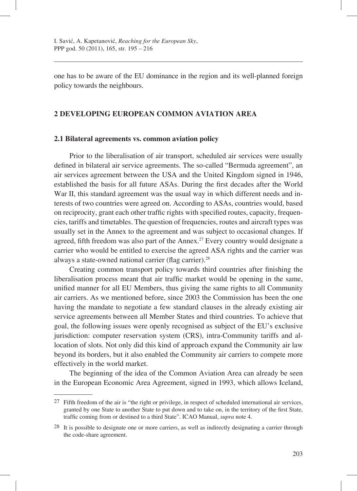one has to be aware of the EU dominance in the region and its well-planned foreign policy towards the neighbours.

#### **2 DEVELOPING EUROPEAN COMMON AVIATION AREA**

#### **2.1 Bilateral agreements vs. common aviation policy**

Prior to the liberalisation of air transport, scheduled air services were usually defined in bilateral air service agreements. The so-called "Bermuda agreement", an air services agreement between the USA and the United Kingdom signed in 1946, established the basis for all future ASAs. During the first decades after the World War II, this standard agreement was the usual way in which different needs and interests of two countries were agreed on. According to ASAs, countries would, based on reciprocity, grant each other traffic rights with specified routes, capacity, frequencies, tariffs and timetables. The question of frequencies, routes and aircraft types was usually set in the Annex to the agreement and was subject to occasional changes. If agreed, fifth freedom was also part of the Annex.<sup>27</sup> Every country would designate a carrier who would be entitled to exercise the agreed ASA rights and the carrier was always a state-owned national carrier (flag carrier). $^{28}$ 

Creating common transport policy towards third countries after finishing the liberalisation process meant that air traffic market would be opening in the same, unified manner for all EU Members, thus giving the same rights to all Community air carriers. As we mentioned before, since 2003 the Commission has been the one having the mandate to negotiate a few standard clauses in the already existing air service agreements between all Member States and third countries. To achieve that goal, the following issues were openly recognised as subject of the EU's exclusive jurisdiction: computer reservation system (CRS), intra-Community tariffs and allocation of slots. Not only did this kind of approach expand the Community air law beyond its borders, but it also enabled the Community air carriers to compete more effectively in the world market.

The beginning of the idea of the Common Aviation Area can already be seen in the European Economic Area Agreement, signed in 1993, which allows Iceland,

<sup>27</sup> Fifth freedom of the air is "the right or privilege, in respect of scheduled international air services, granted by one State to another State to put down and to take on, in the territory of the first State, traffic coming from or destined to a third State". ICAO Manual, *supra* note 4.

<sup>28</sup> It is possible to designate one or more carriers, as well as indirectly designating a carrier through the code-share agreement.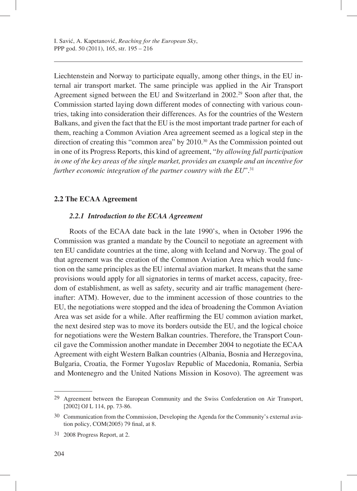Liechtenstein and Norway to participate equally, among other things, in the EU internal air transport market. The same principle was applied in the Air Transport Agreement signed between the EU and Switzerland in 2002.<sup>29</sup> Soon after that, the Commission started laying down different modes of connecting with various countries, taking into consideration their differences. As for the countries of the Western Balkans, and given the fact that the EU is the most important trade partner for each of them, reaching a Common Aviation Area agreement seemed as a logical step in the direction of creating this "common area" by 2010.30 As the Commission pointed out in one of its Progress Reports, this kind of agreement, "*by allowing full participation in one of the key areas of the single market, provides an example and an incentive for further economic integration of the partner country with the EU*".31

## **2.2 The ECAA Agreement**

#### *2.2.1 Introduction to the ECAA Agreement*

Roots of the ECAA date back in the late 1990's, when in October 1996 the Commission was granted a mandate by the Council to negotiate an agreement with ten EU candidate countries at the time, along with Iceland and Norway. The goal of that agreement was the creation of the Common Aviation Area which would function on the same principles as the EU internal aviation market. It means that the same provisions would apply for all signatories in terms of market access, capacity, freedom of establishment, as well as safety, security and air traffic management (hereinafter: ATM). However, due to the imminent accession of those countries to the EU, the negotiations were stopped and the idea of broadening the Common Aviation Area was set aside for a while. After reaffirming the EU common aviation market, the next desired step was to move its borders outside the EU, and the logical choice for negotiations were the Western Balkan countries. Therefore, the Transport Council gave the Commission another mandate in December 2004 to negotiate the ECAA Agreement with eight Western Balkan countries (Albania, Bosnia and Herzegovina, Bulgaria, Croatia, the Former Yugoslav Republic of Macedonia, Romania, Serbia and Montenegro and the United Nations Mission in Kosovo). The agreement was

<sup>29</sup> Agreement between the European Community and the Swiss Confederation on Air Transport, [2002] OJ L 114, pp. 73-86.

<sup>30</sup> Communication from the Commission, Developing the Agenda for the Community's external aviation policy,  $COM(2005)$  79 final, at 8.

<sup>31 2008</sup> Progress Report, at 2.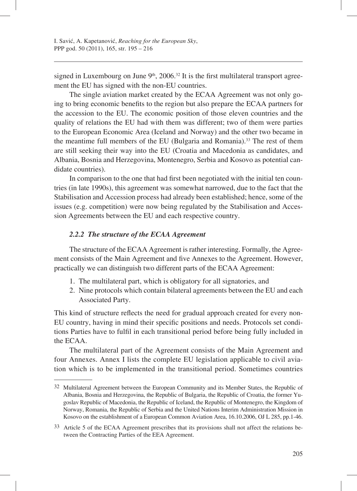signed in Luxembourg on June  $9<sup>th</sup>$ , 2006.<sup>32</sup> It is the first multilateral transport agreement the EU has signed with the non-EU countries.

The single aviation market created by the ECAA Agreement was not only going to bring economic benefits to the region but also prepare the ECAA partners for the accession to the EU. The economic position of those eleven countries and the quality of relations the EU had with them was different; two of them were parties to the European Economic Area (Iceland and Norway) and the other two became in the meantime full members of the EU (Bulgaria and Romania).33 The rest of them are still seeking their way into the EU (Croatia and Macedonia as candidates, and Albania, Bosnia and Herzegovina, Montenegro, Serbia and Kosovo as potential candidate countries).

In comparison to the one that had first been negotiated with the initial ten countries (in late 1990s), this agreement was somewhat narrowed, due to the fact that the Stabilisation and Accession process had already been established; hence, some of the issues (e.g. competition) were now being regulated by the Stabilisation and Accession Agreements between the EU and each respective country.

## *2.2.2 The structure of the ECAA Agreement*

The structure of the ECAA Agreement is rather interesting. Formally, the Agreement consists of the Main Agreement and five Annexes to the Agreement. However, practically we can distinguish two different parts of the ECAA Agreement:

- 1. The multilateral part, which is obligatory for all signatories, and
- 2. Nine protocols which contain bilateral agreements between the EU and each Associated Party.

This kind of structure reflects the need for gradual approach created for every non-EU country, having in mind their specific positions and needs. Protocols set conditions Parties have to fulfil in each transitional period before being fully included in the ECAA.

The multilateral part of the Agreement consists of the Main Agreement and four Annexes. Annex I lists the complete EU legislation applicable to civil aviation which is to be implemented in the transitional period. Sometimes countries

<sup>32</sup> Multilateral Agreement between the European Community and its Member States, the Republic of Albania, Bosnia and Herzegovina, the Republic of Bulgaria, the Republic of Croatia, the former Yugoslav Republic of Macedonia, the Republic of Iceland, the Republic of Montenegro, the Kingdom of Norway, Romania, the Republic of Serbia and the United Nations Interim Administration Mission in Kosovo on the establishment of a European Common Aviation Area, 16.10.2006, OJ L 285, pp.1-46.

<sup>33</sup> Article 5 of the ECAA Agreement prescribes that its provisions shall not affect the relations between the Contracting Parties of the EEA Agreement.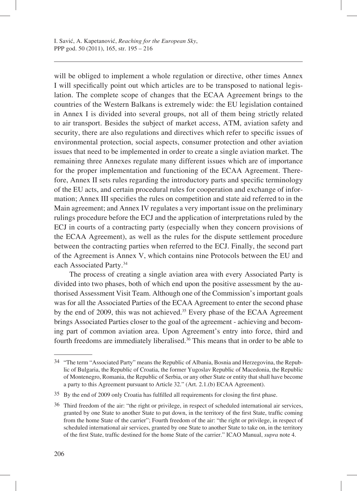will be obliged to implement a whole regulation or directive, other times Annex I will specifically point out which articles are to be transposed to national legislation. The complete scope of changes that the ECAA Agreement brings to the countries of the Western Balkans is extremely wide: the EU legislation contained in Annex I is divided into several groups, not all of them being strictly related to air transport. Besides the subject of market access, ATM, aviation safety and security, there are also regulations and directives which refer to specific issues of environmental protection, social aspects, consumer protection and other aviation issues that need to be implemented in order to create a single aviation market. The remaining three Annexes regulate many different issues which are of importance for the proper implementation and functioning of the ECAA Agreement. Therefore, Annex II sets rules regarding the introductory parts and specific terminology of the EU acts, and certain procedural rules for cooperation and exchange of information; Annex III specifies the rules on competition and state aid referred to in the Main agreement; and Annex IV regulates a very important issue on the preliminary rulings procedure before the ECJ and the application of interpretations ruled by the ECJ in courts of a contracting party (especially when they concern provisions of the ECAA Agreement), as well as the rules for the dispute settlement procedure between the contracting parties when referred to the ECJ. Finally, the second part of the Agreement is Annex V, which contains nine Protocols between the EU and each Associated Party.34

The process of creating a single aviation area with every Associated Party is divided into two phases, both of which end upon the positive assessment by the authorised Assessment Visit Team. Although one of the Commission's important goals was for all the Associated Parties of the ECAA Agreement to enter the second phase by the end of 2009, this was not achieved.<sup>35</sup> Every phase of the ECAA Agreement brings Associated Parties closer to the goal of the agreement - achieving and becoming part of common aviation area. Upon Agreement's entry into force, third and fourth freedoms are immediately liberalised.36 This means that in order to be able to

<sup>&</sup>lt;sup>34</sup> "The term "Associated Party" means the Republic of Albania, Bosnia and Herzegovina, the Republic of Bulgaria, the Republic of Croatia, the former Yugoslav Republic of Macedonia, the Republic of Montenegro, Romania, the Republic of Serbia, or any other State or entity that shall have become a party to this Agreement pursuant to Article 32." (Art. 2.1.(b) ECAA Agreement).

 $35$  By the end of 2009 only Croatia has fulfilled all requirements for closing the first phase.

<sup>36</sup> Third freedom of the air: "the right or privilege, in respect of scheduled international air services, granted by one State to another State to put down, in the territory of the first State, traffic coming from the home State of the carrier"; Fourth freedom of the air: "the right or privilege, in respect of scheduled international air services, granted by one State to another State to take on, in the territory of the first State, traffic destined for the home State of the carrier." ICAO Manual, *supra* note 4.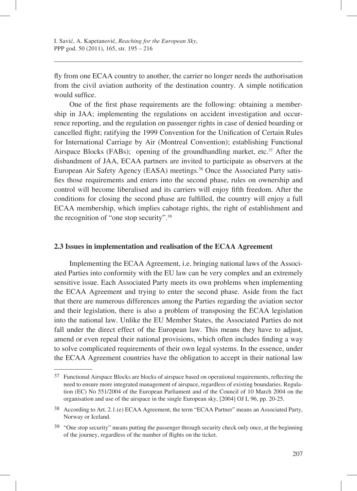fly from one ECAA country to another, the carrier no longer needs the authorisation from the civil aviation authority of the destination country. A simple notification would suffice.

One of the first phase requirements are the following: obtaining a membership in JAA; implementing the regulations on accident investigation and occurrence reporting, and the regulation on passenger rights in case of denied boarding or cancelled flight; ratifying the 1999 Convention for the Unification of Certain Rules for International Carriage by Air (Montreal Convention); establishing Functional Airspace Blocks (FABs); opening of the groundhandling market, etc.<sup>37</sup> After the disbandment of JAA, ECAA partners are invited to participate as observers at the European Air Safety Agency (EASA) meetings.<sup>38</sup> Once the Associated Party satisfies those requirements and enters into the second phase, rules on ownership and control will become liberalised and its carriers will enjoy fifth freedom. After the conditions for closing the second phase are fulfilled, the country will enjoy a full ECAA membership, which implies cabotage rights, the right of establishment and the recognition of "one stop security".39

#### **2.3 Issues in implementation and realisation of the ECAA Agreement**

Implementing the ECAA Agreement, i.e. bringing national laws of the Associated Parties into conformity with the EU law can be very complex and an extremely sensitive issue. Each Associated Party meets its own problems when implementing the ECAA Agreement and trying to enter the second phase. Aside from the fact that there are numerous differences among the Parties regarding the aviation sector and their legislation, there is also a problem of transposing the ECAA legislation into the national law. Unlike the EU Member States, the Associated Parties do not fall under the direct effect of the European law. This means they have to adjust, amend or even repeal their national provisions, which often includes finding a way to solve complicated requirements of their own legal systems. In the essence, under the ECAA Agreement countries have the obligation to accept in their national law

<sup>&</sup>lt;sup>37</sup> Functional Airspace Blocks are blocks of airspace based on operational requirements, reflecting the need to ensure more integrated management of airspace, regardless of existing boundaries. Regulation (EC) No 551/2004 of the European Parliament and of the Council of 10 March 2004 on the organisation and use of the airspace in the single European sky, [2004] OJ L 96, pp. 20-25.

<sup>38</sup> According to Art. 2.1.(e) ECAA Agreement, the term "ECAA Partner" means an Associated Party, Norway or Iceland.

<sup>39 &</sup>quot;One stop security" means putting the passenger through security check only once, at the beginning of the journey, regardless of the number of flights on the ticket.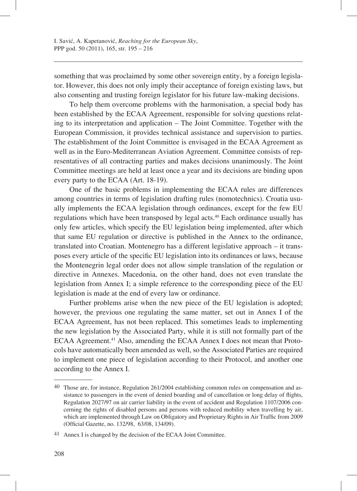something that was proclaimed by some other sovereign entity, by a foreign legislator. However, this does not only imply their acceptance of foreign existing laws, but also consenting and trusting foreign legislator for his future law-making decisions.

To help them overcome problems with the harmonisation, a special body has been established by the ECAA Agreement, responsible for solving questions relating to its interpretation and application – The Joint Committee. Together with the European Commission, it provides technical assistance and supervision to parties. The establishment of the Joint Committee is envisaged in the ECAA Agreement as well as in the Euro-Mediterranean Aviation Agreement. Committee consists of representatives of all contracting parties and makes decisions unanimously. The Joint Committee meetings are held at least once a year and its decisions are binding upon every party to the ECAA (Art. 18-19).

One of the basic problems in implementing the ECAA rules are differences among countries in terms of legislation drafting rules (nomotechnics). Croatia usually implements the ECAA legislation through ordinances, except for the few EU regulations which have been transposed by legal acts.<sup>40</sup> Each ordinance usually has only few articles, which specify the EU legislation being implemented, after which that same EU regulation or directive is published in the Annex to the ordinance, translated into Croatian. Montenegro has a different legislative approach – it transposes every article of the specific EU legislation into its ordinances or laws, because the Montenegrin legal order does not allow simple translation of the regulation or directive in Annexes. Macedonia, on the other hand, does not even translate the legislation from Annex I; a simple reference to the corresponding piece of the EU legislation is made at the end of every law or ordinance.

Further problems arise when the new piece of the EU legislation is adopted; however, the previous one regulating the same matter, set out in Annex I of the ECAA Agreement, has not been replaced. This sometimes leads to implementing the new legislation by the Associated Party, while it is still not formally part of the ECAA Agreement.<sup>41</sup> Also, amending the ECAA Annex I does not mean that Protocols have automatically been amended as well, so the Associated Parties are required to implement one piece of legislation according to their Protocol, and another one according to the Annex I.

<sup>40</sup> Those are, for instance, Regulation 261/2004 establishing common rules on compensation and assistance to passengers in the event of denied boarding and of cancellation or long delay of flights, Regulation 2027/97 on air carrier liability in the event of accident and Regulation 1107/2006 concerning the rights of disabled persons and persons with reduced mobility when travelling by air, which are implemented through Law on Obligatory and Proprietary Rights in Air Traffic from 2009 (Official Gazette, no. 132/98, 63/08, 134/09).

<sup>41</sup> Annex I is changed by the decision of the ECAA Joint Committee.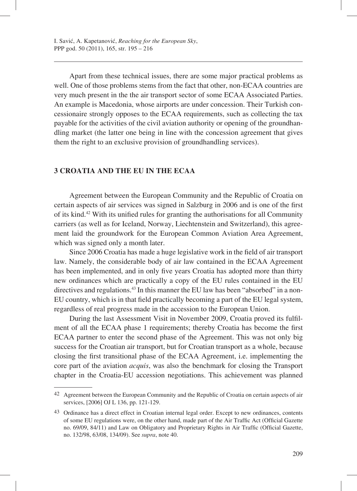Apart from these technical issues, there are some major practical problems as well. One of those problems stems from the fact that other, non-ECAA countries are very much present in the the air transport sector of some ECAA Associated Parties. An example is Macedonia, whose airports are under concession. Their Turkish concessionaire strongly opposes to the ECAA requirements, such as collecting the tax payable for the activities of the civil aviation authority or opening of the groundhandling market (the latter one being in line with the concession agreement that gives them the right to an exclusive provision of groundhandling services).

## **3 CROATIA AND THE EU IN THE ECAA**

Agreement between the European Community and the Republic of Croatia on certain aspects of air services was signed in Salzburg in 2006 and is one of the first of its kind.<sup>42</sup> With its unified rules for granting the authorisations for all Community carriers (as well as for Iceland, Norway, Liechtenstein and Switzerland), this agreement laid the groundwork for the European Common Aviation Area Agreement, which was signed only a month later.

Since 2006 Croatia has made a huge legislative work in the field of air transport law. Namely, the considerable body of air law contained in the ECAA Agreement has been implemented, and in only five years Croatia has adopted more than thirty new ordinances which are practically a copy of the EU rules contained in the EU directives and regulations.<sup>43</sup> In this manner the EU law has been "absorbed" in a non-EU country, which is in that field practically becoming a part of the EU legal system, regardless of real progress made in the accession to the European Union.

During the last Assessment Visit in November 2009, Croatia proved its fulfilment of all the ECAA phase 1 requirements; thereby Croatia has become the first ECAA partner to enter the second phase of the Agreement. This was not only big success for the Croatian air transport, but for Croatian transport as a whole, because closing the first transitional phase of the ECAA Agreement, i.e. implementing the core part of the aviation *acquis*, was also the benchmark for closing the Transport chapter in the Croatia-EU accession negotiations. This achievement was planned

<sup>&</sup>lt;sup>42</sup> Agreement between the European Community and the Republic of Croatia on certain aspects of air services, [2006] OJ L 136, pp. 121-129.

<sup>&</sup>lt;sup>43</sup> Ordinance has a direct effect in Croatian internal legal order. Except to new ordinances, contents of some EU regulations were, on the other hand, made part of the Air Traffic Act (Official Gazette no. 69/09, 84/11) and Law on Obligatory and Proprietary Rights in Air Traffic (Official Gazette, no. 132/98, 63/08, 134/09). See *supra*, note 40.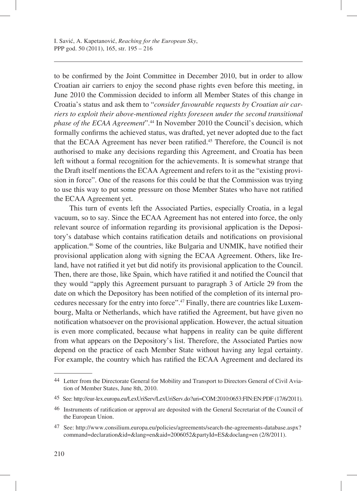to be confirmed by the Joint Committee in December 2010, but in order to allow Croatian air carriers to enjoy the second phase rights even before this meeting, in June 2010 the Commission decided to inform all Member States of this change in Croatia's status and ask them to "*consider favourable requests by Croatian air carriers to exploit their above-mentioned rights foreseen under the second transitional phase of the ECAA Agreement*".<sup>44</sup> In November 2010 the Council's decision, which formally confirms the achieved status, was drafted, yet never adopted due to the fact that the ECAA Agreement has never been ratified.<sup>45</sup> Therefore, the Council is not authorised to make any decisions regarding this Agreement, and Croatia has been left without a formal recognition for the achievements. It is somewhat strange that the Draft itself mentions the ECAA Agreement and refers to it as the "existing provision in force". One of the reasons for this could be that the Commission was trying to use this way to put some pressure on those Member States who have not ratified the ECAA Agreement yet.

This turn of events left the Associated Parties, especially Croatia, in a legal vacuum, so to say. Since the ECAA Agreement has not entered into force, the only relevant source of information regarding its provisional application is the Depository's database which contains ratification details and notifications on provisional application.<sup>46</sup> Some of the countries, like Bulgaria and UNMIK, have notified their provisional application along with signing the ECAA Agreement. Others, like Ireland, have not ratified it yet but did notify its provisional application to the Council. Then, there are those, like Spain, which have ratified it and notified the Council that they would "apply this Agreement pursuant to paragraph 3 of Article 29 from the date on which the Depository has been notified of the completion of its internal procedures necessary for the entry into force".47 Finally, there are countries like Luxembourg, Malta or Netherlands, which have ratified the Agreement, but have given no notification whatsoever on the provisional application. However, the actual situation is even more complicated, because what happens in reality can be quite different from what appears on the Depository's list. Therefore, the Associated Parties now depend on the practice of each Member State without having any legal certainty. For example, the country which has ratified the ECAA Agreement and declared its

<sup>44</sup> Letter from the Directorate General for Mobility and Transport to Directors General of Civil Aviation of Member States, June 8th, 2010.

<sup>45</sup> See: http://eur-lex.europa.eu/LexUriServ/LexUriServ.do?uri=COM:2010:0653:FIN:EN:PDF (17/6/2011).

<sup>46</sup> Instruments of ratification or approval are deposited with the General Secretariat of the Council of the European Union.

<sup>47</sup> See: http://www.consilium.europa.eu/policies/agreements/search-the-agreements-database.aspx? command=declaration&id=&lang=en&aid=2006052&partyId=ES&doclang=en (2/8/2011).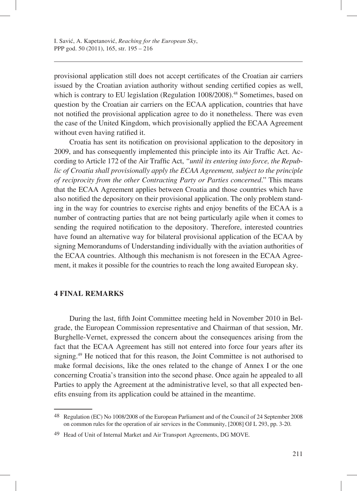provisional application still does not accept certificates of the Croatian air carriers issued by the Croatian aviation authority without sending certified copies as well, which is contrary to EU legislation (Regulation 1008/2008).<sup>48</sup> Sometimes, based on question by the Croatian air carriers on the ECAA application, countries that have not notified the provisional application agree to do it nonetheless. There was even the case of the United Kingdom, which provisionally applied the ECAA Agreement without even having ratified it.

Croatia has sent its notification on provisional application to the depository in 2009, and has consequently implemented this principle into its Air Traffic Act. According to Article 172 of the Air Traffic Act, "*until its entering into force, the Republic of Croatia shall provisionally apply the ECAA Agreement, subject to the principle of reciprocity from the other Contracting Party or Parties concerned*." This means that the ECAA Agreement applies between Croatia and those countries which have also notified the depository on their provisional application. The only problem standing in the way for countries to exercise rights and enjoy benefits of the ECAA is a number of contracting parties that are not being particularly agile when it comes to sending the required notification to the depository. Therefore, interested countries have found an alternative way for bilateral provisional application of the ECAA by signing Memorandums of Understanding individually with the aviation authorities of the ECAA countries. Although this mechanism is not foreseen in the ECAA Agreement, it makes it possible for the countries to reach the long awaited European sky.

#### **4 FINAL REMARKS**

During the last, fifth Joint Committee meeting held in November 2010 in Belgrade, the European Commission representative and Chairman of that session, Mr. Burghelle-Vernet, expressed the concern about the consequences arising from the fact that the ECAA Agreement has still not entered into force four years after its signing.<sup>49</sup> He noticed that for this reason, the Joint Committee is not authorised to make formal decisions, like the ones related to the change of Annex I or the one concerning Croatia's transition into the second phase. Once again he appealed to all Parties to apply the Agreement at the administrative level, so that all expected benefits ensuing from its application could be attained in the meantime.

<sup>48</sup> Regulation (EC) No 1008/2008 of the European Parliament and of the Council of 24 September 2008 on common rules for the operation of air services in the Community, [2008] OJ L 293, pp. 3-20.

<sup>49</sup> Head of Unit of Internal Market and Air Transport Agreements, DG MOVE.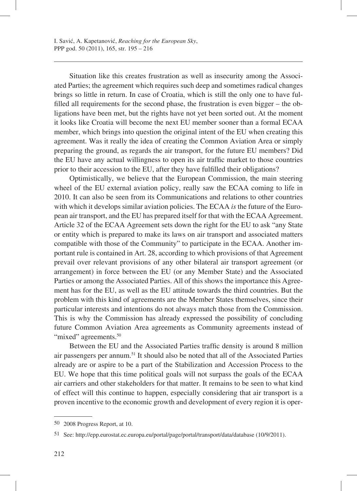Situation like this creates frustration as well as insecurity among the Associated Parties; the agreement which requires such deep and sometimes radical changes brings so little in return. In case of Croatia, which is still the only one to have fulfilled all requirements for the second phase, the frustration is even bigger – the obligations have been met, but the rights have not yet been sorted out. At the moment it looks like Croatia will become the next EU member sooner than a formal ECAA member, which brings into question the original intent of the EU when creating this agreement. Was it really the idea of creating the Common Aviation Area or simply preparing the ground, as regards the air transport, for the future EU members? Did the EU have any actual willingness to open its air traffic market to those countries prior to their accession to the EU, after they have fulfilled their obligations?

Optimistically, we believe that the European Commission, the main steering wheel of the EU external aviation policy, really saw the ECAA coming to life in 2010. It can also be seen from its Communications and relations to other countries with which it develops similar aviation policies. The ECAA *is* the future of the European air transport, and the EU has prepared itself for that with the ECAA Agreement. Article 32 of the ECAA Agreement sets down the right for the EU to ask "any State or entity which is prepared to make its laws on air transport and associated matters compatible with those of the Community" to participate in the ECAA. Another important rule is contained in Art. 28, according to which provisions of that Agreement prevail over relevant provisions of any other bilateral air transport agreement (or arrangement) in force between the EU (or any Member State) and the Associated Parties or among the Associated Parties. All of this shows the importance this Agreement has for the EU, as well as the EU attitude towards the third countries. But the problem with this kind of agreements are the Member States themselves, since their particular interests and intentions do not always match those from the Commission. This is why the Commission has already expressed the possibility of concluding future Common Aviation Area agreements as Community agreements instead of "mixed" agreements.<sup>50</sup>

Between the EU and the Associated Parties traffic density is around 8 million air passengers per annum.<sup>51</sup> It should also be noted that all of the Associated Parties already are or aspire to be a part of the Stabilization and Accession Process to the EU. We hope that this time political goals will not surpass the goals of the ECAA air carriers and other stakeholders for that matter. It remains to be seen to what kind of effect will this continue to happen, especially considering that air transport is a proven incentive to the economic growth and development of every region it is oper-

<sup>50 2008</sup> Progress Report, at 10.

<sup>51</sup> See: http://epp.eurostat.ec.europa.eu/portal/page/portal/transport/data/database (10/9/2011).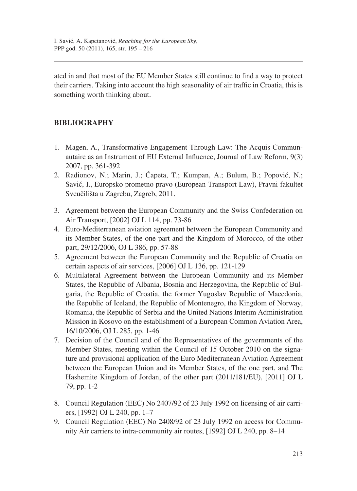ated in and that most of the EU Member States still continue to find a way to protect their carriers. Taking into account the high seasonality of air traffic in Croatia, this is something worth thinking about.

# **BIBLIOGRAPHY**

- 1. Magen, A., Transformative Engagement Through Law: The Acquis Communautaire as an Instrument of EU External Influence, Journal of Law Reform, 9(3) 2007, pp. 361-392
- 2. Radionov, N.; Marin, J.; Ćapeta, T.; Kumpan, A.; Bulum, B.; Popović, N.; Savić, I., Europsko prometno pravo (European Transport Law), Pravni fakultet Sveučilišta u Zagrebu, Zagreb, 2011.
- 3. Agreement between the European Community and the Swiss Confederation on Air Transport, [2002] OJ L 114, pp. 73-86
- 4. Euro-Mediterranean aviation agreement between the European Community and its Member States, of the one part and the Kingdom of Morocco, of the other part, 29/12/2006, OJ L 386, pp. 57-88
- 5. Agreement between the European Community and the Republic of Croatia on certain aspects of air services, [2006] OJ L 136, pp. 121-129
- 6. Multilateral Agreement between the European Community and its Member States, the Republic of Albania, Bosnia and Herzegovina, the Republic of Bulgaria, the Republic of Croatia, the former Yugoslav Republic of Macedonia, the Republic of Iceland, the Republic of Montenegro, the Kingdom of Norway, Romania, the Republic of Serbia and the United Nations Interim Administration Mission in Kosovo on the establishment of a European Common Aviation Area, 16/10/2006, OJ L 285, pp. 1-46
- 7. Decision of the Council and of the Representatives of the governments of the Member States, meeting within the Council of 15 October 2010 on the signature and provisional application of the Euro Mediterranean Aviation Agreement between the European Union and its Member States, of the one part, and The Hashemite Kingdom of Jordan, of the other part (2011/181/EU), [2011] OJ L 79, pp. 1-2
- 8. Council Regulation (EEC) No 2407/92 of 23 July 1992 on licensing of air carriers, [1992] OJ L 240, pp. 1–7
- 9. Council Regulation (EEC) No 2408/92 of 23 July 1992 on access for Community Air carriers to intra-community air routes, [1992] OJ L 240, pp. 8–14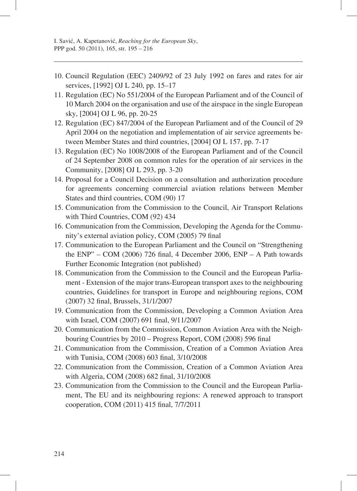- 10. Council Regulation (EEC) 2409/92 of 23 July 1992 on fares and rates for air services, [1992] OJ L 240, pp. 15–17
- 11. Regulation (EC) No 551/2004 of the European Parliament and of the Council of 10 March 2004 on the organisation and use of the airspace in the single European sky, [2004] OJ L 96, pp. 20-25
- 12. Regulation (EC) 847/2004 of the European Parliament and of the Council of 29 April 2004 on the negotiation and implementation of air service agreements between Member States and third countries, [2004] OJ L 157, pp. 7-17
- 13. Regulation (EC) No 1008/2008 of the European Parliament and of the Council of 24 September 2008 on common rules for the operation of air services in the Community, [2008] OJ L 293, pp. 3-20
- 14. Proposal for a Council Decision on a consultation and authorization procedure for agreements concerning commercial aviation relations between Member States and third countries, COM (90) 17
- 15. Communication from the Commission to the Council, Air Transport Relations with Third Countries, COM (92) 434
- 16. Communication from the Commission, Developing the Agenda for the Community's external aviation policy, COM (2005) 79 final
- 17. Communication to the European Parliament and the Council on "Strengthening the ENP" – COM (2006) 726 final, 4 December 2006, ENP – A Path towards Further Economic Integration (not published)
- 18. Communication from the Commission to the Council and the European Parliament - Extension of the major trans-European transport axes to the neighbouring countries, Guidelines for transport in Europe and neighbouring regions, COM (2007) 32 final, Brussels, 31/1/2007
- 19. Communication from the Commission, Developing a Common Aviation Area with Israel, COM (2007) 691 final, 9/11/2007
- 20. Communication from the Commission, Common Aviation Area with the Neighbouring Countries by 2010 – Progress Report, COM (2008) 596 final
- 21. Communication from the Commission, Creation of a Common Aviation Area with Tunisia, COM (2008) 603 final, 3/10/2008
- 22. Communication from the Commission, Creation of a Common Aviation Area with Algeria, COM (2008) 682 final, 31/10/2008
- 23. Communication from the Commission to the Council and the European Parliament, The EU and its neighbouring regions: A renewed approach to transport cooperation, COM (2011) 415 final, 7/7/2011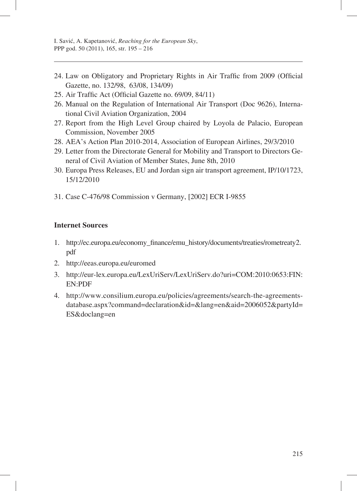- 24. Law on Obligatory and Proprietary Rights in Air Traffic from 2009 (Official Gazette, no. 132/98, 63/08, 134/09)
- 25. Air Traffic Act (Official Gazette no. 69/09, 84/11)
- 26. Manual on the Regulation of International Air Transport (Doc 9626), International Civil Aviation Organization, 2004
- 27. Report from the High Level Group chaired by Loyola de Palacio, European Commission, November 2005
- 28. AEA's Action Plan 2010-2014, Association of European Airlines, 29/3/2010
- 29. Letter from the Directorate General for Mobility and Transport to Directors General of Civil Aviation of Member States, June 8th, 2010
- 30. Europa Press Releases, EU and Jordan sign air transport agreement, IP/10/1723, 15/12/2010
- 31. Case C-476/98 Commission v Germany, [2002] ECR I-9855

## **Internet Sources**

- 1. http://ec.europa.eu/economy\_finance/emu\_history/documents/treaties/rometreaty2. pdf
- 2. http://eeas.europa.eu/euromed
- 3. http://eur-lex.europa.eu/LexUriServ/LexUriServ.do?uri=COM:2010:0653:FIN: EN:PDF
- 4. http://www.consilium.europa.eu/policies/agreements/search-the-agreementsdatabase.aspx?command=declaration&id=&lang=en&aid=2006052&partyId= ES&doclang=en